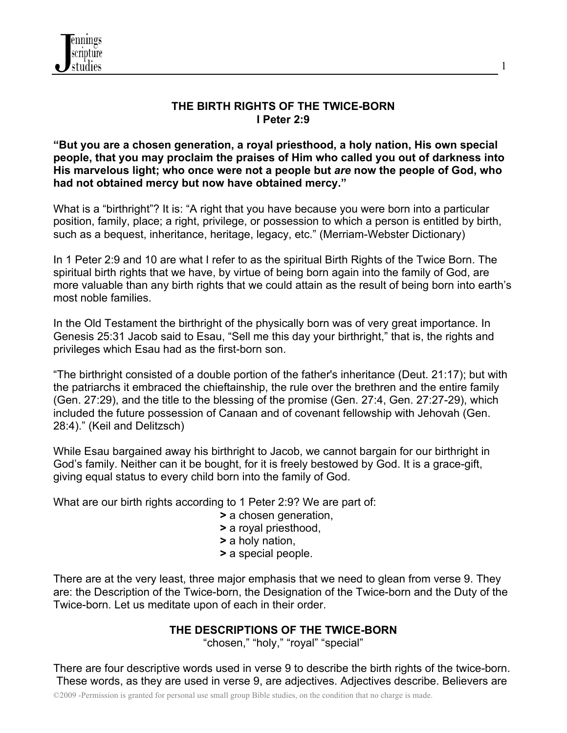

#### **THE BIRTH RIGHTS OF THE TWICE-BORN I Peter 2:9**

**"But you are a chosen generation, a royal priesthood, a holy nation, His own special people, that you may proclaim the praises of Him who called you out of darkness into His marvelous light; who once were not a people but** *are* **now the people of God, who had not obtained mercy but now have obtained mercy."**

What is a "birthright"? It is: "A right that you have because you were born into a particular position, family, place; a right, privilege, or possession to which a person is entitled by birth, such as a bequest, inheritance, heritage, legacy, etc." (Merriam-Webster Dictionary)

In 1 Peter 2:9 and 10 are what I refer to as the spiritual Birth Rights of the Twice Born. The spiritual birth rights that we have, by virtue of being born again into the family of God, are more valuable than any birth rights that we could attain as the result of being born into earth's most noble families.

In the Old Testament the birthright of the physically born was of very great importance. In Genesis 25:31 Jacob said to Esau, "Sell me this day your birthright," that is, the rights and privileges which Esau had as the first-born son.

"The birthright consisted of a double portion of the father's inheritance (Deut. 21:17); but with the patriarchs it embraced the chieftainship, the rule over the brethren and the entire family (Gen. 27:29), and the title to the blessing of the promise (Gen. 27:4, Gen. 27:27-29), which included the future possession of Canaan and of covenant fellowship with Jehovah (Gen. 28:4)." (Keil and Delitzsch)

While Esau bargained away his birthright to Jacob, we cannot bargain for our birthright in God's family. Neither can it be bought, for it is freely bestowed by God. It is a grace-gift, giving equal status to every child born into the family of God.

What are our birth rights according to 1 Peter 2:9? We are part of:

- **>** a chosen generation,
- **>** a royal priesthood,
- **>** a holy nation,
- **>** a special people.

There are at the very least, three major emphasis that we need to glean from verse 9. They are: the Description of the Twice-born, the Designation of the Twice-born and the Duty of the Twice-born. Let us meditate upon of each in their order.

## **THE DESCRIPTIONS OF THE TWICE-BORN**

"chosen," "holy," "royal" "special"

There are four descriptive words used in verse 9 to describe the birth rights of the twice-born. These words, as they are used in verse 9, are adjectives. Adjectives describe. Believers are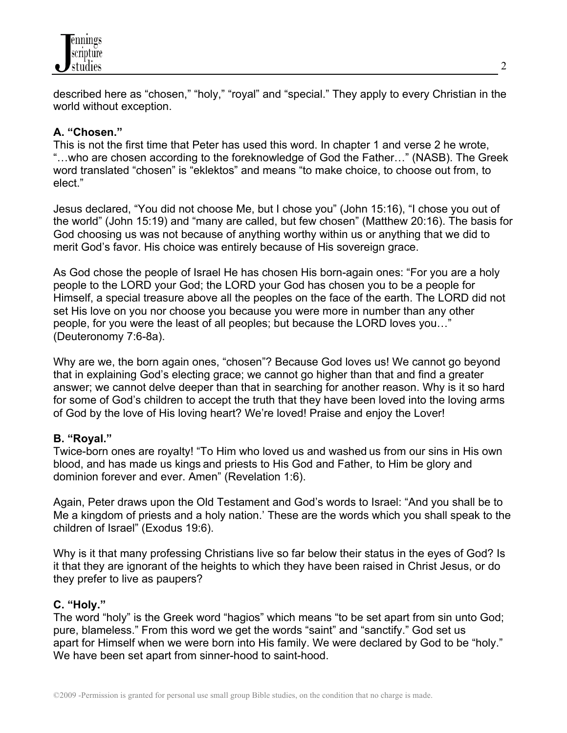

described here as "chosen," "holy," "royal" and "special." They apply to every Christian in the world without exception.

#### **A. "Chosen."**

This is not the first time that Peter has used this word. In chapter 1 and verse 2 he wrote, "…who are chosen according to the foreknowledge of God the Father…" (NASB). The Greek word translated "chosen" is "eklektos" and means "to make choice, to choose out from, to elect."

Jesus declared, "You did not choose Me, but I chose you" (John 15:16), "I chose you out of the world" (John 15:19) and "many are called, but few chosen" (Matthew 20:16). The basis for God choosing us was not because of anything worthy within us or anything that we did to merit God's favor. His choice was entirely because of His sovereign grace.

As God chose the people of Israel He has chosen His born-again ones: "For you are a holy people to the LORD your God; the LORD your God has chosen you to be a people for Himself, a special treasure above all the peoples on the face of the earth. The LORD did not set His love on you nor choose you because you were more in number than any other people, for you were the least of all peoples; but because the LORD loves you…" (Deuteronomy 7:6-8a).

Why are we, the born again ones, "chosen"? Because God loves us! We cannot go beyond that in explaining God's electing grace; we cannot go higher than that and find a greater answer; we cannot delve deeper than that in searching for another reason. Why is it so hard for some of God's children to accept the truth that they have been loved into the loving arms of God by the love of His loving heart? We're loved! Praise and enjoy the Lover!

#### **B. "Royal."**

Twice-born ones are royalty! "To Him who loved us and washed us from our sins in His own blood, and has made us kings and priests to His God and Father, to Him be glory and dominion forever and ever. Amen" (Revelation 1:6).

Again, Peter draws upon the Old Testament and God's words to Israel: "And you shall be to Me a kingdom of priests and a holy nation.' These are the words which you shall speak to the children of Israel" (Exodus 19:6).

Why is it that many professing Christians live so far below their status in the eyes of God? Is it that they are ignorant of the heights to which they have been raised in Christ Jesus, or do they prefer to live as paupers?

#### **C. "Holy."**

The word "holy" is the Greek word "hagios" which means "to be set apart from sin unto God; pure, blameless." From this word we get the words "saint" and "sanctify." God set us apart for Himself when we were born into His family. We were declared by God to be "holy." We have been set apart from sinner-hood to saint-hood.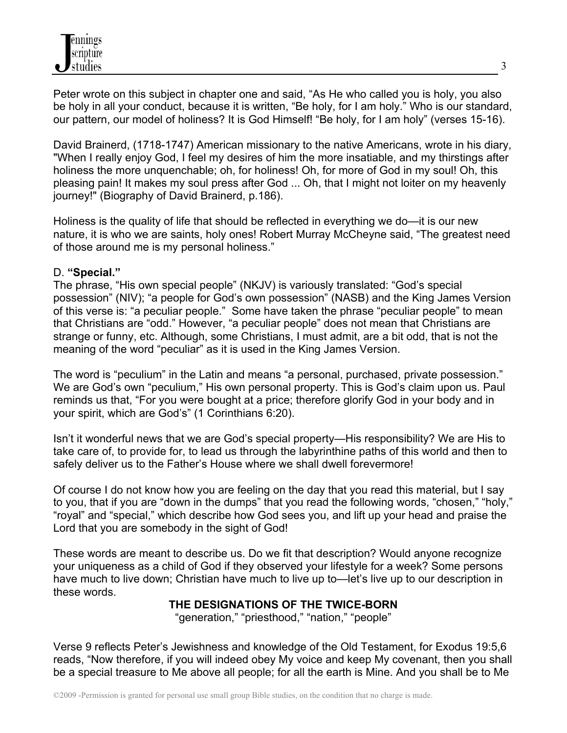Peter wrote on this subject in chapter one and said, "As He who called you is holy, you also be holy in all your conduct, because it is written, "Be holy, for I am holy." Who is our standard, our pattern, our model of holiness? It is God Himself! "Be holy, for I am holy" (verses 15-16).

David Brainerd, (1718-1747) American missionary to the native Americans, wrote in his diary, "When I really enjoy God, I feel my desires of him the more insatiable, and my thirstings after holiness the more unquenchable; oh, for holiness! Oh, for more of God in my soul! Oh, this pleasing pain! It makes my soul press after God ... Oh, that I might not loiter on my heavenly journey!" (Biography of David Brainerd, p.186).

Holiness is the quality of life that should be reflected in everything we do—it is our new nature, it is who we are saints, holy ones! Robert Murray McCheyne said, "The greatest need of those around me is my personal holiness."

### D. **"Special."**

The phrase, "His own special people" (NKJV) is variously translated: "God's special possession" (NIV); "a people for God's own possession" (NASB) and the King James Version of this verse is: "a peculiar people." Some have taken the phrase "peculiar people" to mean that Christians are "odd." However, "a peculiar people" does not mean that Christians are strange or funny, etc. Although, some Christians, I must admit, are a bit odd, that is not the meaning of the word "peculiar" as it is used in the King James Version.

The word is "peculium" in the Latin and means "a personal, purchased, private possession." We are God's own "peculium," His own personal property. This is God's claim upon us. Paul reminds us that, "For you were bought at a price; therefore glorify God in your body and in your spirit, which are God's" (1 Corinthians 6:20).

Isn't it wonderful news that we are God's special property—His responsibility? We are His to take care of, to provide for, to lead us through the labyrinthine paths of this world and then to safely deliver us to the Father's House where we shall dwell forevermore!

Of course I do not know how you are feeling on the day that you read this material, but I say to you, that if you are "down in the dumps" that you read the following words, "chosen," "holy," "royal" and "special," which describe how God sees you, and lift up your head and praise the Lord that you are somebody in the sight of God!

These words are meant to describe us. Do we fit that description? Would anyone recognize your uniqueness as a child of God if they observed your lifestyle for a week? Some persons have much to live down; Christian have much to live up to—let's live up to our description in these words.

## **THE DESIGNATIONS OF THE TWICE-BORN**

"generation," "priesthood," "nation," "people"

Verse 9 reflects Peter's Jewishness and knowledge of the Old Testament, for Exodus 19:5,6 reads, "Now therefore, if you will indeed obey My voice and keep My covenant, then you shall be a special treasure to Me above all people; for all the earth is Mine. And you shall be to Me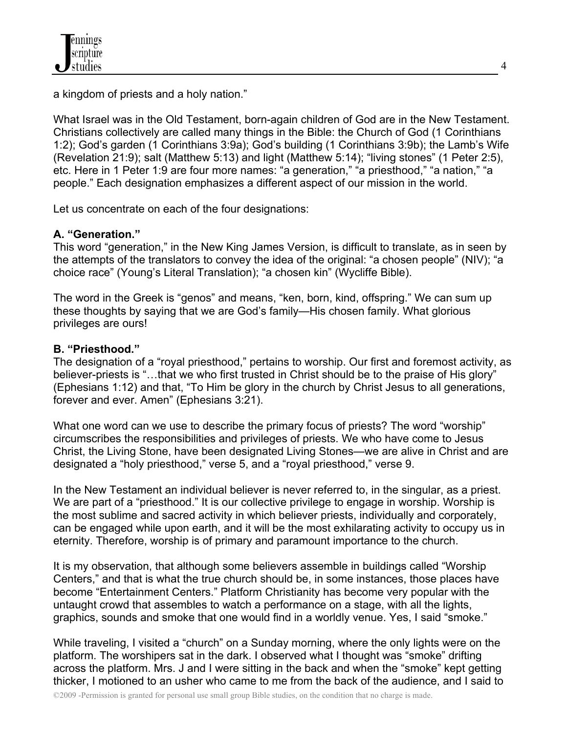a kingdom of priests and a holy nation."

What Israel was in the Old Testament, born-again children of God are in the New Testament. Christians collectively are called many things in the Bible: the Church of God (1 Corinthians 1:2); God's garden (1 Corinthians 3:9a); God's building (1 Corinthians 3:9b); the Lamb's Wife (Revelation 21:9); salt (Matthew 5:13) and light (Matthew 5:14); "living stones" (1 Peter 2:5), etc. Here in 1 Peter 1:9 are four more names: "a generation," "a priesthood," "a nation," "a people." Each designation emphasizes a different aspect of our mission in the world.

Let us concentrate on each of the four designations:

# **A. "Generation."**

This word "generation," in the New King James Version, is difficult to translate, as in seen by the attempts of the translators to convey the idea of the original: "a chosen people" (NIV); "a choice race" (Young's Literal Translation); "a chosen kin" (Wycliffe Bible).

The word in the Greek is "genos" and means, "ken, born, kind, offspring." We can sum up these thoughts by saying that we are God's family—His chosen family. What glorious privileges are ours!

# **B. "Priesthood."**

The designation of a "royal priesthood," pertains to worship. Our first and foremost activity, as believer-priests is "...that we who first trusted in Christ should be to the praise of His glory" (Ephesians 1:12) and that, "To Him be glory in the church by Christ Jesus to all generations, forever and ever. Amen" (Ephesians 3:21).

What one word can we use to describe the primary focus of priests? The word "worship" circumscribes the responsibilities and privileges of priests. We who have come to Jesus Christ, the Living Stone, have been designated Living Stones—we are alive in Christ and are designated a "holy priesthood," verse 5, and a "royal priesthood," verse 9.

In the New Testament an individual believer is never referred to, in the singular, as a priest. We are part of a "priesthood." It is our collective privilege to engage in worship. Worship is the most sublime and sacred activity in which believer priests, individually and corporately, can be engaged while upon earth, and it will be the most exhilarating activity to occupy us in eternity. Therefore, worship is of primary and paramount importance to the church.

It is my observation, that although some believers assemble in buildings called "Worship Centers," and that is what the true church should be, in some instances, those places have become "Entertainment Centers." Platform Christianity has become very popular with the untaught crowd that assembles to watch a performance on a stage, with all the lights, graphics, sounds and smoke that one would find in a worldly venue. Yes, I said "smoke."

While traveling, I visited a "church" on a Sunday morning, where the only lights were on the platform. The worshipers sat in the dark. I observed what I thought was "smoke" drifting across the platform. Mrs. J and I were sitting in the back and when the "smoke" kept getting thicker, I motioned to an usher who came to me from the back of the audience, and I said to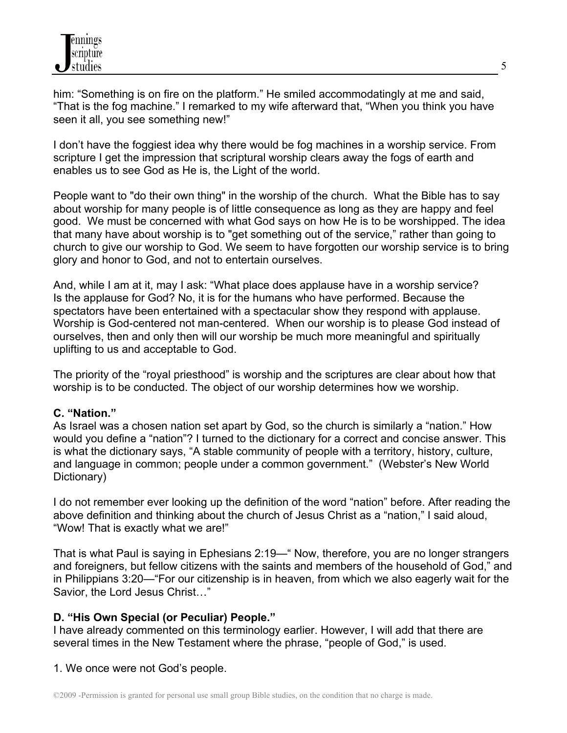him: "Something is on fire on the platform." He smiled accommodatingly at me and said, "That is the fog machine." I remarked to my wife afterward that, "When you think you have seen it all, you see something new!"

I don't have the foggiest idea why there would be fog machines in a worship service. From scripture I get the impression that scriptural worship clears away the fogs of earth and enables us to see God as He is, the Light of the world.

People want to "do their own thing" in the worship of the church. What the Bible has to say about worship for many people is of little consequence as long as they are happy and feel good. We must be concerned with what God says on how He is to be worshipped. The idea that many have about worship is to "get something out of the service," rather than going to church to give our worship to God. We seem to have forgotten our worship service is to bring glory and honor to God, and not to entertain ourselves.

And, while I am at it, may I ask: "What place does applause have in a worship service? Is the applause for God? No, it is for the humans who have performed. Because the spectators have been entertained with a spectacular show they respond with applause. Worship is God-centered not man-centered. When our worship is to please God instead of ourselves, then and only then will our worship be much more meaningful and spiritually uplifting to us and acceptable to God.

The priority of the "royal priesthood" is worship and the scriptures are clear about how that worship is to be conducted. The object of our worship determines how we worship.

## **C. "Nation."**

As Israel was a chosen nation set apart by God, so the church is similarly a "nation." How would you define a "nation"? I turned to the dictionary for a correct and concise answer. This is what the dictionary says, "A stable community of people with a territory, history, culture, and language in common; people under a common government." (Webster's New World Dictionary)

I do not remember ever looking up the definition of the word "nation" before. After reading the above definition and thinking about the church of Jesus Christ as a "nation," I said aloud, "Wow! That is exactly what we are!"

That is what Paul is saying in Ephesians 2:19—" Now, therefore, you are no longer strangers and foreigners, but fellow citizens with the saints and members of the household of God," and in Philippians 3:20—"For our citizenship is in heaven, from which we also eagerly wait for the Savior, the Lord Jesus Christ…"

## **D. "His Own Special (or Peculiar) People."**

I have already commented on this terminology earlier. However, I will add that there are several times in the New Testament where the phrase, "people of God," is used.

1. We once were not God's people.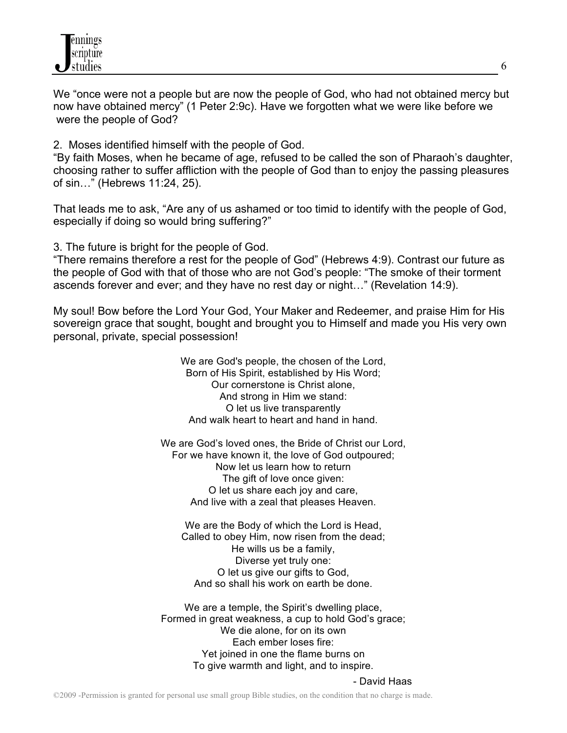

We "once were not a people but are now the people of God, who had not obtained mercy but now have obtained mercy" (1 Peter 2:9c). Have we forgotten what we were like before we were the people of God?

2. Moses identified himself with the people of God.

"By faith Moses, when he became of age, refused to be called the son of Pharaoh's daughter, choosing rather to suffer affliction with the people of God than to enjoy the passing pleasures of sin…" (Hebrews 11:24, 25).

That leads me to ask, "Are any of us ashamed or too timid to identify with the people of God, especially if doing so would bring suffering?"

3. The future is bright for the people of God.

"There remains therefore a rest for the people of God" (Hebrews 4:9). Contrast our future as the people of God with that of those who are not God's people: "The smoke of their torment ascends forever and ever; and they have no rest day or night…" (Revelation 14:9).

My soul! Bow before the Lord Your God, Your Maker and Redeemer, and praise Him for His sovereign grace that sought, bought and brought you to Himself and made you His very own personal, private, special possession!

> We are God's people, the chosen of the Lord, Born of His Spirit, established by His Word; Our cornerstone is Christ alone, And strong in Him we stand: O let us live transparently And walk heart to heart and hand in hand.

We are God's loved ones, the Bride of Christ our Lord, For we have known it, the love of God outpoured; Now let us learn how to return The gift of love once given: O let us share each joy and care, And live with a zeal that pleases Heaven.

We are the Body of which the Lord is Head. Called to obey Him, now risen from the dead; He wills us be a family, Diverse yet truly one: O let us give our gifts to God, And so shall his work on earth be done.

We are a temple, the Spirit's dwelling place, Formed in great weakness, a cup to hold God's grace; We die alone, for on its own Each ember loses fire: Yet joined in one the flame burns on To give warmth and light, and to inspire.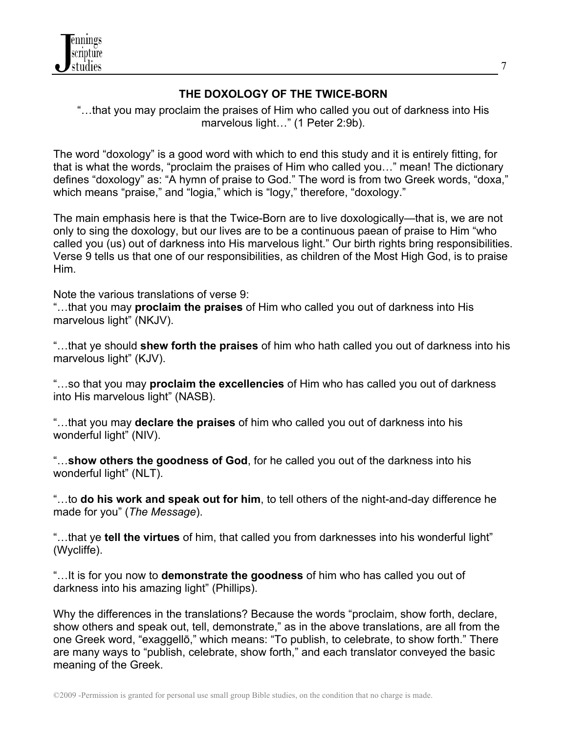

## **THE DOXOLOGY OF THE TWICE-BORN**

"…that you may proclaim the praises of Him who called you out of darkness into His marvelous light..." (1 Peter 2:9b).

The word "doxology" is a good word with which to end this study and it is entirely fitting, for that is what the words, "proclaim the praises of Him who called you…" mean! The dictionary defines "doxology" as: "A hymn of praise to God." The word is from two Greek words, "doxa," which means "praise," and "logia," which is "logy," therefore, "doxology."

The main emphasis here is that the Twice-Born are to live doxologically—that is, we are not only to sing the doxology, but our lives are to be a continuous paean of praise to Him "who called you (us) out of darkness into His marvelous light." Our birth rights bring responsibilities. Verse 9 tells us that one of our responsibilities, as children of the Most High God, is to praise Him.

Note the various translations of verse 9:

"…that you may **proclaim the praises** of Him who called you out of darkness into His marvelous light" (NKJV).

"…that ye should **shew forth the praises** of him who hath called you out of darkness into his marvelous light" (KJV).

"…so that you may **proclaim the excellencies** of Him who has called you out of darkness into His marvelous light" (NASB).

"…that you may **declare the praises** of him who called you out of darkness into his wonderful light" (NIV).

"…**show others the goodness of God**, for he called you out of the darkness into his wonderful light" (NLT).

"…to **do his work and speak out for him**, to tell others of the night-and-day difference he made for you" (*The Message*).

"…that ye **tell the virtues** of him, that called you from darknesses into his wonderful light" (Wycliffe).

"…It is for you now to **demonstrate the goodness** of him who has called you out of darkness into his amazing light" (Phillips).

Why the differences in the translations? Because the words "proclaim, show forth, declare, show others and speak out, tell, demonstrate," as in the above translations, are all from the one Greek word, "exaggellō," which means: "To publish, to celebrate, to show forth." There are many ways to "publish, celebrate, show forth," and each translator conveyed the basic meaning of the Greek.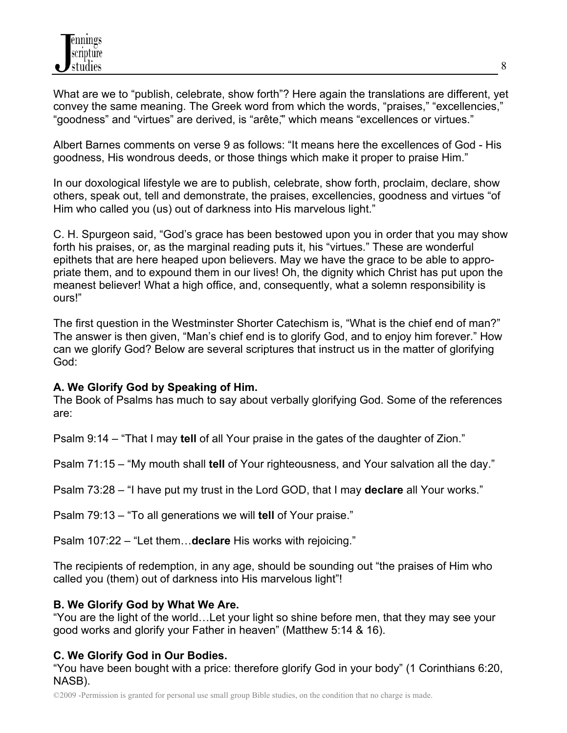What are we to "publish, celebrate, show forth"? Here again the translations are different, yet convey the same meaning. The Greek word from which the words, "praises," "excellencies," "goodness" and "virtues" are derived, is "arête," which means "excellences or virtues."

Albert Barnes comments on verse 9 as follows: "It means here the excellences of God - His goodness, His wondrous deeds, or those things which make it proper to praise Him."

In our doxological lifestyle we are to publish, celebrate, show forth, proclaim, declare, show others, speak out, tell and demonstrate, the praises, excellencies, goodness and virtues "of Him who called you (us) out of darkness into His marvelous light."

C. H. Spurgeon said, "God's grace has been bestowed upon you in order that you may show forth his praises, or, as the marginal reading puts it, his "virtues." These are wonderful epithets that are here heaped upon believers. May we have the grace to be able to appropriate them, and to expound them in our lives! Oh, the dignity which Christ has put upon the meanest believer! What a high office, and, consequently, what a solemn responsibility is ours!"

The first question in the Westminster Shorter Catechism is, "What is the chief end of man?" The answer is then given, "Man's chief end is to glorify God, and to enjoy him forever." How can we glorify God? Below are several scriptures that instruct us in the matter of glorifying God:

## **A. We Glorify God by Speaking of Him.**

The Book of Psalms has much to say about verbally glorifying God. Some of the references are:

Psalm 9:14 – "That I may **tell** of all Your praise in the gates of the daughter of Zion."

Psalm 71:15 – "My mouth shall **tell** of Your righteousness, and Your salvation all the day."

Psalm 73:28 – "I have put my trust in the Lord GOD, that I may **declare** all Your works."

Psalm 79:13 – "To all generations we will **tell** of Your praise."

Psalm 107:22 – "Let them…**declare** His works with rejoicing."

The recipients of redemption, in any age, should be sounding out "the praises of Him who called you (them) out of darkness into His marvelous light"!

## **B. We Glorify God by What We Are.**

"You are the light of the world…Let your light so shine before men, that they may see your good works and glorify your Father in heaven" (Matthew 5:14 & 16).

## **C. We Glorify God in Our Bodies.**

"You have been bought with a price: therefore glorify God in your body" (1 Corinthians 6:20, NASB).